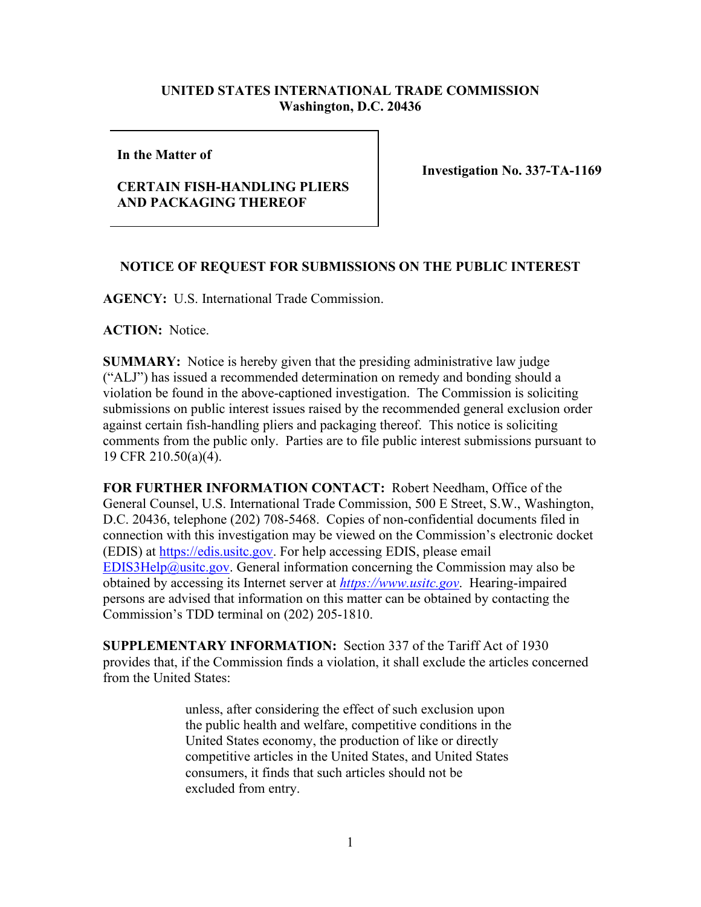# **UNITED STATES INTERNATIONAL TRADE COMMISSION Washington, D.C. 20436**

#### **In the Matter of**

# **CERTAIN FISH-HANDLING PLIERS AND PACKAGING THEREOF**

**Investigation No. 337-TA-1169**

### **NOTICE OF REQUEST FOR SUBMISSIONS ON THE PUBLIC INTEREST**

**AGENCY:** U.S. International Trade Commission.

**ACTION:** Notice.

**SUMMARY:** Notice is hereby given that the presiding administrative law judge ("ALJ") has issued a recommended determination on remedy and bonding should a violation be found in the above-captioned investigation. The Commission is soliciting submissions on public interest issues raised by the recommended general exclusion order against certain fish-handling pliers and packaging thereof. This notice is soliciting comments from the public only. Parties are to file public interest submissions pursuant to 19 CFR 210.50(a)(4).

**FOR FURTHER INFORMATION CONTACT:** Robert Needham, Office of the General Counsel, U.S. International Trade Commission, 500 E Street, S.W., Washington, D.C. 20436, telephone (202) 708-5468. Copies of non-confidential documents filed in connection with this investigation may be viewed on the Commission's electronic docket (EDIS) at [https://edis.usitc.gov.](https://edis.usitc.gov/) For help accessing EDIS, please email [EDIS3Help@usitc.gov.](mailto:EDIS3Help@usitc.gov) General information concerning the Commission may also be obtained by accessing its Internet server at *[https://www.usitc.gov](https://www.usitc.gov/)*. Hearing-impaired persons are advised that information on this matter can be obtained by contacting the Commission's TDD terminal on (202) 205-1810.

**SUPPLEMENTARY INFORMATION:** Section 337 of the Tariff Act of 1930 provides that, if the Commission finds a violation, it shall exclude the articles concerned from the United States:

> unless, after considering the effect of such exclusion upon the public health and welfare, competitive conditions in the United States economy, the production of like or directly competitive articles in the United States, and United States consumers, it finds that such articles should not be excluded from entry.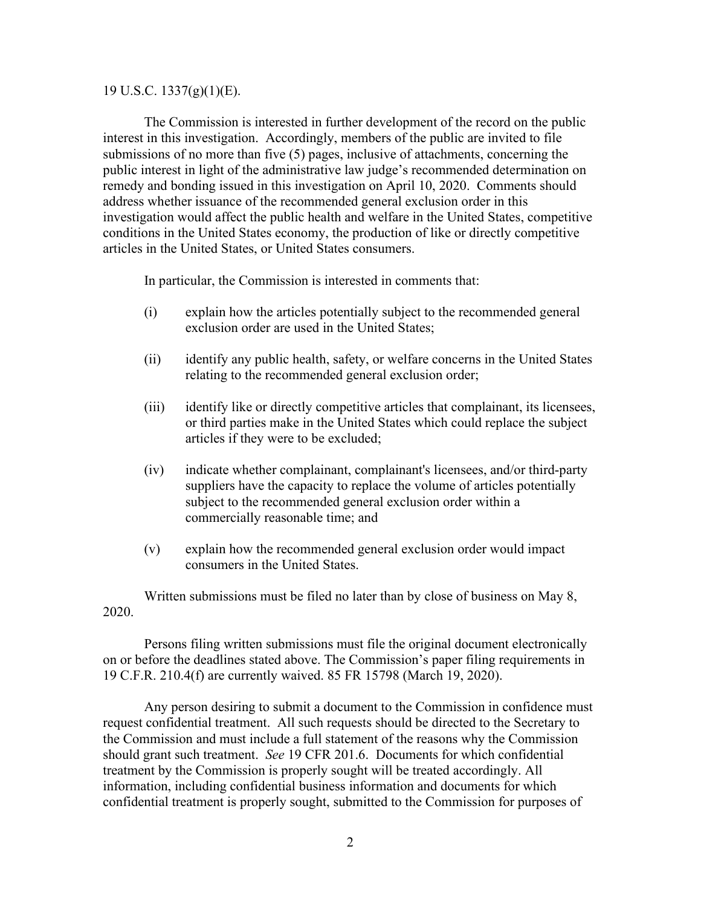#### 19 U.S.C. 1337(g)(1)(E).

The Commission is interested in further development of the record on the public interest in this investigation. Accordingly, members of the public are invited to file submissions of no more than five (5) pages, inclusive of attachments, concerning the public interest in light of the administrative law judge's recommended determination on remedy and bonding issued in this investigation on April 10, 2020.Comments should address whether issuance of the recommended general exclusion order in this investigation would affect the public health and welfare in the United States, competitive conditions in the United States economy, the production of like or directly competitive articles in the United States, or United States consumers.

In particular, the Commission is interested in comments that:

- (i) explain how the articles potentially subject to the recommended general exclusion order are used in the United States;
- (ii) identify any public health, safety, or welfare concerns in the United States relating to the recommended general exclusion order;
- (iii) identify like or directly competitive articles that complainant, its licensees, or third parties make in the United States which could replace the subject articles if they were to be excluded;
- (iv) indicate whether complainant, complainant's licensees, and/or third-party suppliers have the capacity to replace the volume of articles potentially subject to the recommended general exclusion order within a commercially reasonable time; and
- (v) explain how the recommended general exclusion order would impact consumers in the United States.

Written submissions must be filed no later than by close of business on May 8, 2020.

Persons filing written submissions must file the original document electronically on or before the deadlines stated above. The Commission's paper filing requirements in 19 C.F.R. 210.4(f) are currently waived. 85 FR 15798 (March 19, 2020).

Any person desiring to submit a document to the Commission in confidence must request confidential treatment. All such requests should be directed to the Secretary to the Commission and must include a full statement of the reasons why the Commission should grant such treatment. *See* 19 CFR 201.6. Documents for which confidential treatment by the Commission is properly sought will be treated accordingly. All information, including confidential business information and documents for which confidential treatment is properly sought, submitted to the Commission for purposes of